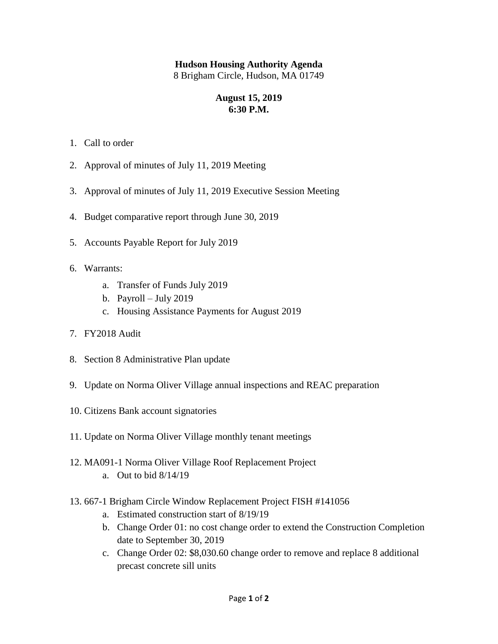## **Hudson Housing Authority Agenda**

8 Brigham Circle, Hudson, MA 01749

## **August 15, 2019 6:30 P.M.**

- 1. Call to order
- 2. Approval of minutes of July 11, 2019 Meeting
- 3. Approval of minutes of July 11, 2019 Executive Session Meeting
- 4. Budget comparative report through June 30, 2019
- 5. Accounts Payable Report for July 2019
- 6. Warrants:
	- a. Transfer of Funds July 2019
	- b. Payroll July 2019
	- c. Housing Assistance Payments for August 2019
- 7. FY2018 Audit
- 8. Section 8 Administrative Plan update
- 9. Update on Norma Oliver Village annual inspections and REAC preparation
- 10. Citizens Bank account signatories
- 11. Update on Norma Oliver Village monthly tenant meetings
- 12. MA091-1 Norma Oliver Village Roof Replacement Project a. Out to bid 8/14/19
- 13. 667-1 Brigham Circle Window Replacement Project FISH #141056
	- a. Estimated construction start of 8/19/19
	- b. Change Order 01: no cost change order to extend the Construction Completion date to September 30, 2019
	- c. Change Order 02: \$8,030.60 change order to remove and replace 8 additional precast concrete sill units